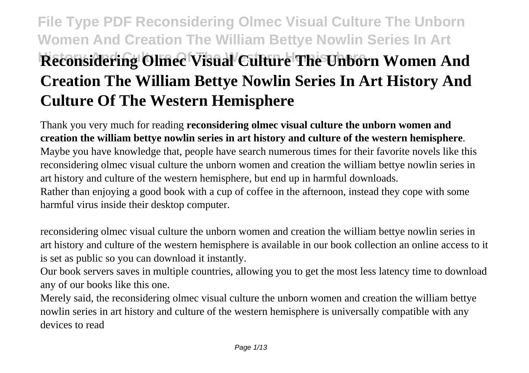# **File Type PDF Reconsidering Olmec Visual Culture The Unborn Women And Creation The William Bettye Nowlin Series In Art Reconsidering Olmec Visual Culture The Unborn Women And Creation The William Bettye Nowlin Series In Art History And Culture Of The Western Hemisphere**

Thank you very much for reading **reconsidering olmec visual culture the unborn women and creation the william bettye nowlin series in art history and culture of the western hemisphere**. Maybe you have knowledge that, people have search numerous times for their favorite novels like this reconsidering olmec visual culture the unborn women and creation the william bettye nowlin series in art history and culture of the western hemisphere, but end up in harmful downloads. Rather than enjoying a good book with a cup of coffee in the afternoon, instead they cope with some harmful virus inside their desktop computer.

reconsidering olmec visual culture the unborn women and creation the william bettye nowlin series in art history and culture of the western hemisphere is available in our book collection an online access to it is set as public so you can download it instantly.

Our book servers saves in multiple countries, allowing you to get the most less latency time to download any of our books like this one.

Merely said, the reconsidering olmec visual culture the unborn women and creation the william bettye nowlin series in art history and culture of the western hemisphere is universally compatible with any devices to read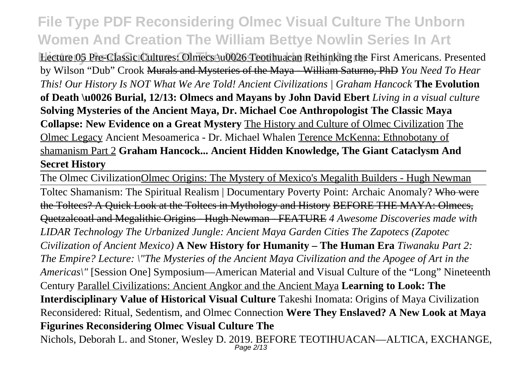**Lecture 05 Pre-Classic Cultures: Olmecs \u0026 Teotihuacan Rethinking the First Americans. Presented** by Wilson "Dub" Crook Murals and Mysteries of the Maya - William Saturno, PhD *You Need To Hear This! Our History Is NOT What We Are Told! Ancient Civilizations | Graham Hancock* **The Evolution of Death \u0026 Burial, 12/13: Olmecs and Mayans by John David Ebert** *Living in a visual culture* **Solving Mysteries of the Ancient Maya, Dr. Michael Coe Anthropologist The Classic Maya Collapse: New Evidence on a Great Mystery** The History and Culture of Olmec Civilization The Olmec Legacy Ancient Mesoamerica - Dr. Michael Whalen Terence McKenna: Ethnobotany of shamanism Part 2 **Graham Hancock... Ancient Hidden Knowledge, The Giant Cataclysm And Secret History**

The Olmec CivilizationOlmec Origins: The Mystery of Mexico's Megalith Builders - Hugh Newman Toltec Shamanism: The Spiritual Realism | Documentary Poverty Point: Archaic Anomaly? Who were the Toltecs? A Quick Look at the Toltecs in Mythology and History BEFORE THE MAYA: Olmecs, Quetzalcoatl and Megalithic Origins - Hugh Newman - FEATURE *4 Awesome Discoveries made with LIDAR Technology The Urbanized Jungle: Ancient Maya Garden Cities The Zapotecs (Zapotec Civilization of Ancient Mexico)* **A New History for Humanity – The Human Era** *Tiwanaku Part 2: The Empire? Lecture: \"The Mysteries of the Ancient Maya Civilization and the Apogee of Art in the Americas\"* [Session One] Symposium—American Material and Visual Culture of the "Long" Nineteenth Century Parallel Civilizations: Ancient Angkor and the Ancient Maya **Learning to Look: The Interdisciplinary Value of Historical Visual Culture** Takeshi Inomata: Origins of Maya Civilization Reconsidered: Ritual, Sedentism, and Olmec Connection **Were They Enslaved? A New Look at Maya Figurines Reconsidering Olmec Visual Culture The**

Nichols, Deborah L. and Stoner, Wesley D. 2019. BEFORE TEOTIHUACAN—ALTICA, EXCHANGE, Page 2/13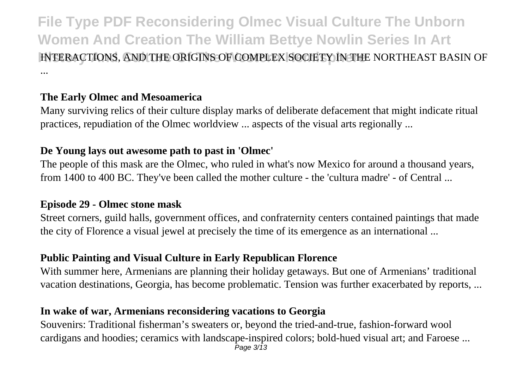**File Type PDF Reconsidering Olmec Visual Culture The Unborn Women And Creation The William Bettye Nowlin Series In Art History And Culture Of The Western Hemisphere** INTERACTIONS, AND THE ORIGINS OF COMPLEX SOCIETY IN THE NORTHEAST BASIN OF ...

### **The Early Olmec and Mesoamerica**

Many surviving relics of their culture display marks of deliberate defacement that might indicate ritual practices, repudiation of the Olmec worldview ... aspects of the visual arts regionally ...

#### **De Young lays out awesome path to past in 'Olmec'**

The people of this mask are the Olmec, who ruled in what's now Mexico for around a thousand years, from 1400 to 400 BC. They've been called the mother culture - the 'cultura madre' - of Central ...

#### **Episode 29 - Olmec stone mask**

Street corners, guild halls, government offices, and confraternity centers contained paintings that made the city of Florence a visual jewel at precisely the time of its emergence as an international ...

### **Public Painting and Visual Culture in Early Republican Florence**

With summer here, Armenians are planning their holiday getaways. But one of Armenians' traditional vacation destinations, Georgia, has become problematic. Tension was further exacerbated by reports, ...

### **In wake of war, Armenians reconsidering vacations to Georgia**

Souvenirs: Traditional fisherman's sweaters or, beyond the tried-and-true, fashion-forward wool cardigans and hoodies; ceramics with landscape-inspired colors; bold-hued visual art; and Faroese ... Page  $3/\overline{1}3$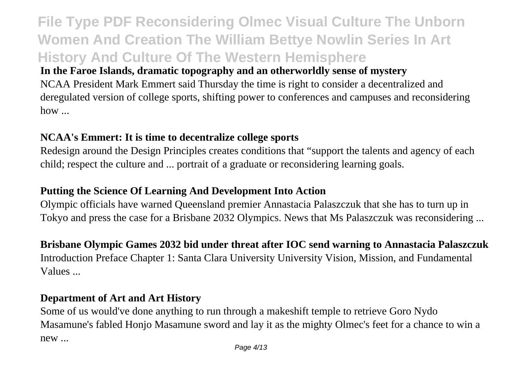## **File Type PDF Reconsidering Olmec Visual Culture The Unborn Women And Creation The William Bettye Nowlin Series In Art History And Culture Of The Western Hemisphere**

### **In the Faroe Islands, dramatic topography and an otherworldly sense of mystery**

NCAA President Mark Emmert said Thursday the time is right to consider a decentralized and deregulated version of college sports, shifting power to conferences and campuses and reconsidering how ...

### **NCAA's Emmert: It is time to decentralize college sports**

Redesign around the Design Principles creates conditions that "support the talents and agency of each child; respect the culture and ... portrait of a graduate or reconsidering learning goals.

### **Putting the Science Of Learning And Development Into Action**

Olympic officials have warned Queensland premier Annastacia Palaszczuk that she has to turn up in Tokyo and press the case for a Brisbane 2032 Olympics. News that Ms Palaszczuk was reconsidering ...

### **Brisbane Olympic Games 2032 bid under threat after IOC send warning to Annastacia Palaszczuk** Introduction Preface Chapter 1: Santa Clara University University Vision, Mission, and Fundamental Values ...

### **Department of Art and Art History**

Some of us would've done anything to run through a makeshift temple to retrieve Goro Nydo Masamune's fabled Honjo Masamune sword and lay it as the mighty Olmec's feet for a chance to win a new ...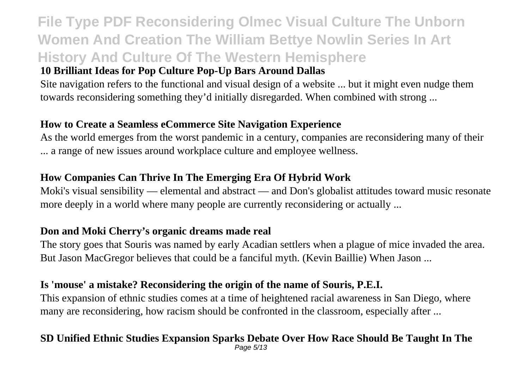# **File Type PDF Reconsidering Olmec Visual Culture The Unborn Women And Creation The William Bettye Nowlin Series In Art History And Culture Of The Western Hemisphere**

### **10 Brilliant Ideas for Pop Culture Pop-Up Bars Around Dallas**

Site navigation refers to the functional and visual design of a website ... but it might even nudge them towards reconsidering something they'd initially disregarded. When combined with strong ...

#### **How to Create a Seamless eCommerce Site Navigation Experience**

As the world emerges from the worst pandemic in a century, companies are reconsidering many of their ... a range of new issues around workplace culture and employee wellness.

#### **How Companies Can Thrive In The Emerging Era Of Hybrid Work**

Moki's visual sensibility — elemental and abstract — and Don's globalist attitudes toward music resonate more deeply in a world where many people are currently reconsidering or actually ...

#### **Don and Moki Cherry's organic dreams made real**

The story goes that Souris was named by early Acadian settlers when a plague of mice invaded the area. But Jason MacGregor believes that could be a fanciful myth. (Kevin Baillie) When Jason ...

#### **Is 'mouse' a mistake? Reconsidering the origin of the name of Souris, P.E.I.**

This expansion of ethnic studies comes at a time of heightened racial awareness in San Diego, where many are reconsidering, how racism should be confronted in the classroom, especially after ...

#### **SD Unified Ethnic Studies Expansion Sparks Debate Over How Race Should Be Taught In The**

Page 5/13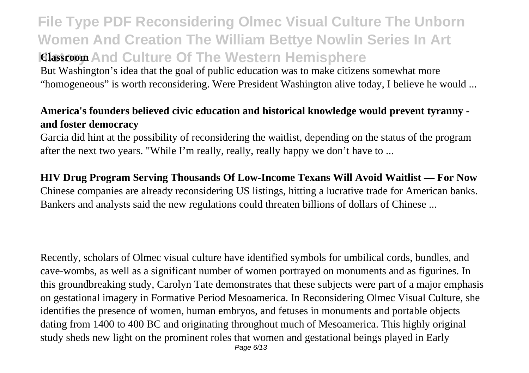**File Type PDF Reconsidering Olmec Visual Culture The Unborn Women And Creation The William Bettye Nowlin Series In Art History And Culture Of The Western Hemisphere** But Washington's idea that the goal of public education was to make citizens somewhat more "homogeneous" is worth reconsidering. Were President Washington alive today, I believe he would ...

### **America's founders believed civic education and historical knowledge would prevent tyranny and foster democracy**

Garcia did hint at the possibility of reconsidering the waitlist, depending on the status of the program after the next two years. "While I'm really, really, really happy we don't have to ...

### **HIV Drug Program Serving Thousands Of Low-Income Texans Will Avoid Waitlist — For Now**

Chinese companies are already reconsidering US listings, hitting a lucrative trade for American banks. Bankers and analysts said the new regulations could threaten billions of dollars of Chinese ...

Recently, scholars of Olmec visual culture have identified symbols for umbilical cords, bundles, and cave-wombs, as well as a significant number of women portrayed on monuments and as figurines. In this groundbreaking study, Carolyn Tate demonstrates that these subjects were part of a major emphasis on gestational imagery in Formative Period Mesoamerica. In Reconsidering Olmec Visual Culture, she identifies the presence of women, human embryos, and fetuses in monuments and portable objects dating from 1400 to 400 BC and originating throughout much of Mesoamerica. This highly original study sheds new light on the prominent roles that women and gestational beings played in Early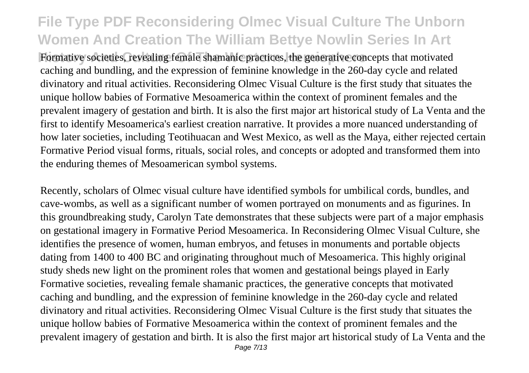Hormative societies, revealing female shamanic practices, the generative concepts that motivated caching and bundling, and the expression of feminine knowledge in the 260-day cycle and related divinatory and ritual activities. Reconsidering Olmec Visual Culture is the first study that situates the unique hollow babies of Formative Mesoamerica within the context of prominent females and the prevalent imagery of gestation and birth. It is also the first major art historical study of La Venta and the first to identify Mesoamerica's earliest creation narrative. It provides a more nuanced understanding of how later societies, including Teotihuacan and West Mexico, as well as the Maya, either rejected certain Formative Period visual forms, rituals, social roles, and concepts or adopted and transformed them into the enduring themes of Mesoamerican symbol systems.

Recently, scholars of Olmec visual culture have identified symbols for umbilical cords, bundles, and cave-wombs, as well as a significant number of women portrayed on monuments and as figurines. In this groundbreaking study, Carolyn Tate demonstrates that these subjects were part of a major emphasis on gestational imagery in Formative Period Mesoamerica. In Reconsidering Olmec Visual Culture, she identifies the presence of women, human embryos, and fetuses in monuments and portable objects dating from 1400 to 400 BC and originating throughout much of Mesoamerica. This highly original study sheds new light on the prominent roles that women and gestational beings played in Early Formative societies, revealing female shamanic practices, the generative concepts that motivated caching and bundling, and the expression of feminine knowledge in the 260-day cycle and related divinatory and ritual activities. Reconsidering Olmec Visual Culture is the first study that situates the unique hollow babies of Formative Mesoamerica within the context of prominent females and the prevalent imagery of gestation and birth. It is also the first major art historical study of La Venta and the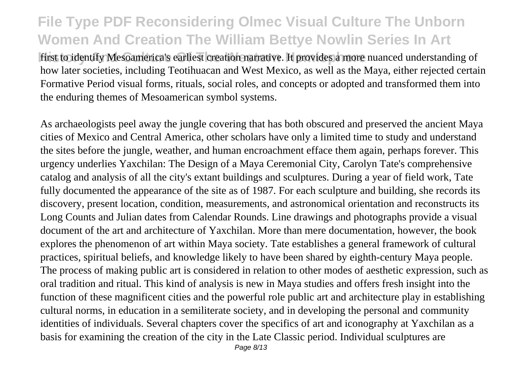first to identify Mesoamerica's earliest creation narrative. It provides a more nuanced understanding of how later societies, including Teotihuacan and West Mexico, as well as the Maya, either rejected certain Formative Period visual forms, rituals, social roles, and concepts or adopted and transformed them into the enduring themes of Mesoamerican symbol systems.

As archaeologists peel away the jungle covering that has both obscured and preserved the ancient Maya cities of Mexico and Central America, other scholars have only a limited time to study and understand the sites before the jungle, weather, and human encroachment efface them again, perhaps forever. This urgency underlies Yaxchilan: The Design of a Maya Ceremonial City, Carolyn Tate's comprehensive catalog and analysis of all the city's extant buildings and sculptures. During a year of field work, Tate fully documented the appearance of the site as of 1987. For each sculpture and building, she records its discovery, present location, condition, measurements, and astronomical orientation and reconstructs its Long Counts and Julian dates from Calendar Rounds. Line drawings and photographs provide a visual document of the art and architecture of Yaxchilan. More than mere documentation, however, the book explores the phenomenon of art within Maya society. Tate establishes a general framework of cultural practices, spiritual beliefs, and knowledge likely to have been shared by eighth-century Maya people. The process of making public art is considered in relation to other modes of aesthetic expression, such as oral tradition and ritual. This kind of analysis is new in Maya studies and offers fresh insight into the function of these magnificent cities and the powerful role public art and architecture play in establishing cultural norms, in education in a semiliterate society, and in developing the personal and community identities of individuals. Several chapters cover the specifics of art and iconography at Yaxchilan as a basis for examining the creation of the city in the Late Classic period. Individual sculptures are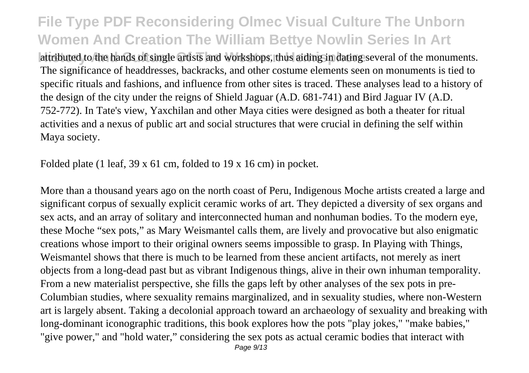**File Type PDF Reconsidering Olmec Visual Culture The Unborn Women And Creation The William Bettye Nowlin Series In Art** attributed to the hands of single artists and workshops, thus aiding in dating several of the monuments. The significance of headdresses, backracks, and other costume elements seen on monuments is tied to specific rituals and fashions, and influence from other sites is traced. These analyses lead to a history of the design of the city under the reigns of Shield Jaguar (A.D. 681-741) and Bird Jaguar IV (A.D. 752-772). In Tate's view, Yaxchilan and other Maya cities were designed as both a theater for ritual activities and a nexus of public art and social structures that were crucial in defining the self within Maya society.

Folded plate (1 leaf, 39 x 61 cm, folded to 19 x 16 cm) in pocket.

More than a thousand years ago on the north coast of Peru, Indigenous Moche artists created a large and significant corpus of sexually explicit ceramic works of art. They depicted a diversity of sex organs and sex acts, and an array of solitary and interconnected human and nonhuman bodies. To the modern eye, these Moche "sex pots," as Mary Weismantel calls them, are lively and provocative but also enigmatic creations whose import to their original owners seems impossible to grasp. In Playing with Things, Weismantel shows that there is much to be learned from these ancient artifacts, not merely as inert objects from a long-dead past but as vibrant Indigenous things, alive in their own inhuman temporality. From a new materialist perspective, she fills the gaps left by other analyses of the sex pots in pre-Columbian studies, where sexuality remains marginalized, and in sexuality studies, where non-Western art is largely absent. Taking a decolonial approach toward an archaeology of sexuality and breaking with long-dominant iconographic traditions, this book explores how the pots "play jokes," "make babies," "give power," and "hold water," considering the sex pots as actual ceramic bodies that interact with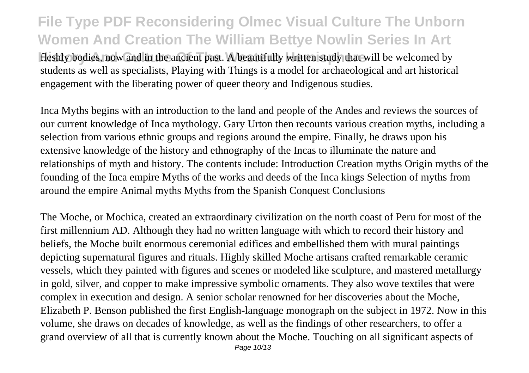Heshly bodies, now and in the ancient past. A beautifully written study that will be welcomed by students as well as specialists, Playing with Things is a model for archaeological and art historical engagement with the liberating power of queer theory and Indigenous studies.

Inca Myths begins with an introduction to the land and people of the Andes and reviews the sources of our current knowledge of Inca mythology. Gary Urton then recounts various creation myths, including a selection from various ethnic groups and regions around the empire. Finally, he draws upon his extensive knowledge of the history and ethnography of the Incas to illuminate the nature and relationships of myth and history. The contents include: Introduction Creation myths Origin myths of the founding of the Inca empire Myths of the works and deeds of the Inca kings Selection of myths from around the empire Animal myths Myths from the Spanish Conquest Conclusions

The Moche, or Mochica, created an extraordinary civilization on the north coast of Peru for most of the first millennium AD. Although they had no written language with which to record their history and beliefs, the Moche built enormous ceremonial edifices and embellished them with mural paintings depicting supernatural figures and rituals. Highly skilled Moche artisans crafted remarkable ceramic vessels, which they painted with figures and scenes or modeled like sculpture, and mastered metallurgy in gold, silver, and copper to make impressive symbolic ornaments. They also wove textiles that were complex in execution and design. A senior scholar renowned for her discoveries about the Moche, Elizabeth P. Benson published the first English-language monograph on the subject in 1972. Now in this volume, she draws on decades of knowledge, as well as the findings of other researchers, to offer a grand overview of all that is currently known about the Moche. Touching on all significant aspects of Page 10/13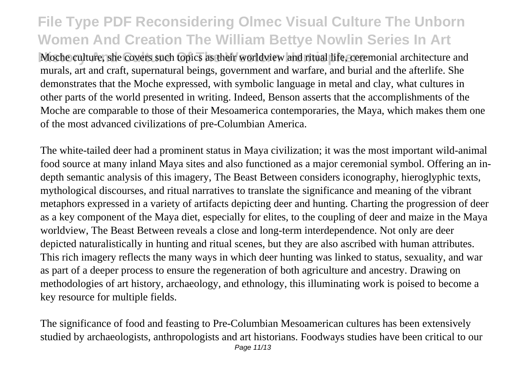Moche culture, she covers such topics as their worldview and ritual life, ceremonial architecture and murals, art and craft, supernatural beings, government and warfare, and burial and the afterlife. She demonstrates that the Moche expressed, with symbolic language in metal and clay, what cultures in other parts of the world presented in writing. Indeed, Benson asserts that the accomplishments of the Moche are comparable to those of their Mesoamerica contemporaries, the Maya, which makes them one of the most advanced civilizations of pre-Columbian America.

The white-tailed deer had a prominent status in Maya civilization; it was the most important wild-animal food source at many inland Maya sites and also functioned as a major ceremonial symbol. Offering an indepth semantic analysis of this imagery, The Beast Between considers iconography, hieroglyphic texts, mythological discourses, and ritual narratives to translate the significance and meaning of the vibrant metaphors expressed in a variety of artifacts depicting deer and hunting. Charting the progression of deer as a key component of the Maya diet, especially for elites, to the coupling of deer and maize in the Maya worldview, The Beast Between reveals a close and long-term interdependence. Not only are deer depicted naturalistically in hunting and ritual scenes, but they are also ascribed with human attributes. This rich imagery reflects the many ways in which deer hunting was linked to status, sexuality, and war as part of a deeper process to ensure the regeneration of both agriculture and ancestry. Drawing on methodologies of art history, archaeology, and ethnology, this illuminating work is poised to become a key resource for multiple fields.

The significance of food and feasting to Pre-Columbian Mesoamerican cultures has been extensively studied by archaeologists, anthropologists and art historians. Foodways studies have been critical to our Page 11/13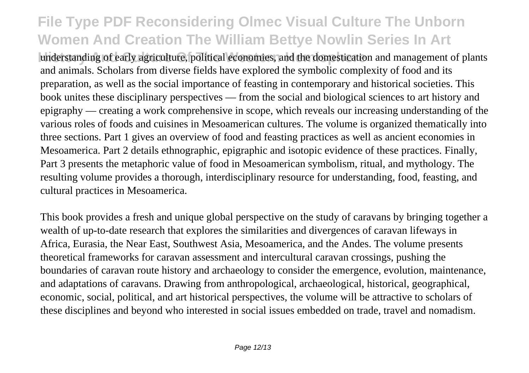understanding of early agriculture, political economies, and the domestication and management of plants and animals. Scholars from diverse fields have explored the symbolic complexity of food and its preparation, as well as the social importance of feasting in contemporary and historical societies. This book unites these disciplinary perspectives — from the social and biological sciences to art history and epigraphy — creating a work comprehensive in scope, which reveals our increasing understanding of the various roles of foods and cuisines in Mesoamerican cultures. The volume is organized thematically into three sections. Part 1 gives an overview of food and feasting practices as well as ancient economies in Mesoamerica. Part 2 details ethnographic, epigraphic and isotopic evidence of these practices. Finally, Part 3 presents the metaphoric value of food in Mesoamerican symbolism, ritual, and mythology. The resulting volume provides a thorough, interdisciplinary resource for understanding, food, feasting, and cultural practices in Mesoamerica.

This book provides a fresh and unique global perspective on the study of caravans by bringing together a wealth of up-to-date research that explores the similarities and divergences of caravan lifeways in Africa, Eurasia, the Near East, Southwest Asia, Mesoamerica, and the Andes. The volume presents theoretical frameworks for caravan assessment and intercultural caravan crossings, pushing the boundaries of caravan route history and archaeology to consider the emergence, evolution, maintenance, and adaptations of caravans. Drawing from anthropological, archaeological, historical, geographical, economic, social, political, and art historical perspectives, the volume will be attractive to scholars of these disciplines and beyond who interested in social issues embedded on trade, travel and nomadism.